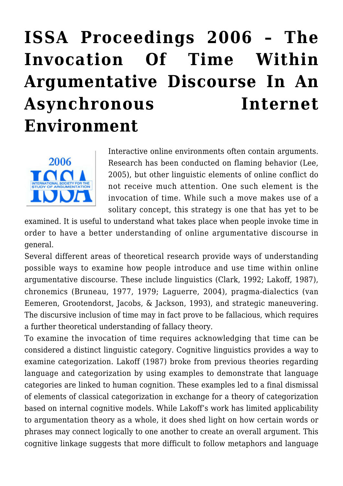# **[ISSA Proceedings 2006 – The](https://rozenbergquarterly.com/issa-proceedings-2006-the-invocation-of-time-within-argumentative-discourse-in-an-asynchronous-internet-environment/) [Invocation Of Time Within](https://rozenbergquarterly.com/issa-proceedings-2006-the-invocation-of-time-within-argumentative-discourse-in-an-asynchronous-internet-environment/) [Argumentative Discourse In An](https://rozenbergquarterly.com/issa-proceedings-2006-the-invocation-of-time-within-argumentative-discourse-in-an-asynchronous-internet-environment/) [Asynchronous Internet](https://rozenbergquarterly.com/issa-proceedings-2006-the-invocation-of-time-within-argumentative-discourse-in-an-asynchronous-internet-environment/) [Environment](https://rozenbergquarterly.com/issa-proceedings-2006-the-invocation-of-time-within-argumentative-discourse-in-an-asynchronous-internet-environment/)**



Interactive online environments often contain arguments. Research has been conducted on flaming behavior (Lee, 2005), but other linguistic elements of online conflict do not receive much attention. One such element is the invocation of time. While such a move makes use of a solitary concept, this strategy is one that has yet to be

examined. It is useful to understand what takes place when people invoke time in order to have a better understanding of online argumentative discourse in general.

Several different areas of theoretical research provide ways of understanding possible ways to examine how people introduce and use time within online argumentative discourse. These include linguistics (Clark, 1992; Lakoff, 1987), chronemics (Bruneau, 1977, 1979; Laguerre, 2004), pragma-dialectics (van Eemeren, Grootendorst, Jacobs, & Jackson, 1993), and strategic maneuvering. The discursive inclusion of time may in fact prove to be fallacious, which requires a further theoretical understanding of fallacy theory.

To examine the invocation of time requires acknowledging that time can be considered a distinct linguistic category. Cognitive linguistics provides a way to examine categorization. Lakoff (1987) broke from previous theories regarding language and categorization by using examples to demonstrate that language categories are linked to human cognition. These examples led to a final dismissal of elements of classical categorization in exchange for a theory of categorization based on internal cognitive models. While Lakoff's work has limited applicability to argumentation theory as a whole, it does shed light on how certain words or phrases may connect logically to one another to create an overall argument. This cognitive linkage suggests that more difficult to follow metaphors and language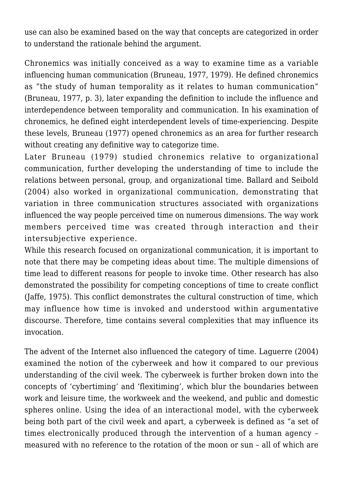use can also be examined based on the way that concepts are categorized in order to understand the rationale behind the argument.

Chronemics was initially conceived as a way to examine time as a variable influencing human communication (Bruneau, 1977, 1979). He defined chronemics as "the study of human temporality as it relates to human communication" (Bruneau, 1977, p. 3), later expanding the definition to include the influence and interdependence between temporality and communication. In his examination of chronemics, he defined eight interdependent levels of time-experiencing. Despite these levels, Bruneau (1977) opened chronemics as an area for further research without creating any definitive way to categorize time.

Later Bruneau (1979) studied chronemics relative to organizational communication, further developing the understanding of time to include the relations between personal, group, and organizational time. Ballard and Seibold (2004) also worked in organizational communication, demonstrating that variation in three communication structures associated with organizations influenced the way people perceived time on numerous dimensions. The way work members perceived time was created through interaction and their intersubjective experience.

While this research focused on organizational communication, it is important to note that there may be competing ideas about time. The multiple dimensions of time lead to different reasons for people to invoke time. Other research has also demonstrated the possibility for competing conceptions of time to create conflict (Jaffe, 1975). This conflict demonstrates the cultural construction of time, which may influence how time is invoked and understood within argumentative discourse. Therefore, time contains several complexities that may influence its invocation.

The advent of the Internet also influenced the category of time. Laguerre (2004) examined the notion of the cyberweek and how it compared to our previous understanding of the civil week. The cyberweek is further broken down into the concepts of 'cybertiming' and 'flexitiming', which blur the boundaries between work and leisure time, the workweek and the weekend, and public and domestic spheres online. Using the idea of an interactional model, with the cyberweek being both part of the civil week and apart, a cyberweek is defined as "a set of times electronically produced through the intervention of a human agency – measured with no reference to the rotation of the moon or sun – all of which are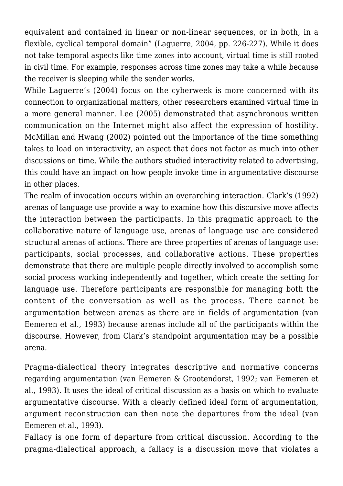equivalent and contained in linear or non-linear sequences, or in both, in a flexible, cyclical temporal domain" (Laguerre, 2004, pp. 226-227). While it does not take temporal aspects like time zones into account, virtual time is still rooted in civil time. For example, responses across time zones may take a while because the receiver is sleeping while the sender works.

While Laguerre's (2004) focus on the cyberweek is more concerned with its connection to organizational matters, other researchers examined virtual time in a more general manner. Lee (2005) demonstrated that asynchronous written communication on the Internet might also affect the expression of hostility. McMillan and Hwang (2002) pointed out the importance of the time something takes to load on interactivity, an aspect that does not factor as much into other discussions on time. While the authors studied interactivity related to advertising, this could have an impact on how people invoke time in argumentative discourse in other places.

The realm of invocation occurs within an overarching interaction. Clark's (1992) arenas of language use provide a way to examine how this discursive move affects the interaction between the participants. In this pragmatic approach to the collaborative nature of language use, arenas of language use are considered structural arenas of actions. There are three properties of arenas of language use: participants, social processes, and collaborative actions. These properties demonstrate that there are multiple people directly involved to accomplish some social process working independently and together, which create the setting for language use. Therefore participants are responsible for managing both the content of the conversation as well as the process. There cannot be argumentation between arenas as there are in fields of argumentation (van Eemeren et al., 1993) because arenas include all of the participants within the discourse. However, from Clark's standpoint argumentation may be a possible arena.

Pragma-dialectical theory integrates descriptive and normative concerns regarding argumentation (van Eemeren & Grootendorst, 1992; van Eemeren et al., 1993). It uses the ideal of critical discussion as a basis on which to evaluate argumentative discourse. With a clearly defined ideal form of argumentation, argument reconstruction can then note the departures from the ideal (van Eemeren et al., 1993).

Fallacy is one form of departure from critical discussion. According to the pragma-dialectical approach, a fallacy is a discussion move that violates a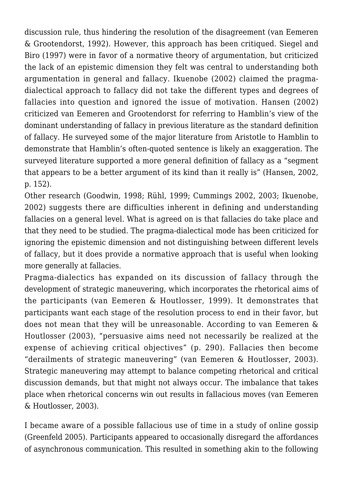discussion rule, thus hindering the resolution of the disagreement (van Eemeren & Grootendorst, 1992). However, this approach has been critiqued. Siegel and Biro (1997) were in favor of a normative theory of argumentation, but criticized the lack of an epistemic dimension they felt was central to understanding both argumentation in general and fallacy. Ikuenobe (2002) claimed the pragmadialectical approach to fallacy did not take the different types and degrees of fallacies into question and ignored the issue of motivation. Hansen (2002) criticized van Eemeren and Grootendorst for referring to Hamblin's view of the dominant understanding of fallacy in previous literature as the standard definition of fallacy. He surveyed some of the major literature from Aristotle to Hamblin to demonstrate that Hamblin's often-quoted sentence is likely an exaggeration. The surveyed literature supported a more general definition of fallacy as a "segment that appears to be a better argument of its kind than it really is" (Hansen, 2002, p. 152).

Other research (Goodwin, 1998; Rühl, 1999; Cummings 2002, 2003; Ikuenobe, 2002) suggests there are difficulties inherent in defining and understanding fallacies on a general level. What is agreed on is that fallacies do take place and that they need to be studied. The pragma-dialectical mode has been criticized for ignoring the epistemic dimension and not distinguishing between different levels of fallacy, but it does provide a normative approach that is useful when looking more generally at fallacies.

Pragma-dialectics has expanded on its discussion of fallacy through the development of strategic maneuvering, which incorporates the rhetorical aims of the participants (van Eemeren & Houtlosser, 1999). It demonstrates that participants want each stage of the resolution process to end in their favor, but does not mean that they will be unreasonable. According to van Eemeren & Houtlosser (2003), "persuasive aims need not necessarily be realized at the expense of achieving critical objectives" (p. 290). Fallacies then become "derailments of strategic maneuvering" (van Eemeren & Houtlosser, 2003). Strategic maneuvering may attempt to balance competing rhetorical and critical discussion demands, but that might not always occur. The imbalance that takes place when rhetorical concerns win out results in fallacious moves (van Eemeren & Houtlosser, 2003).

I became aware of a possible fallacious use of time in a study of online gossip (Greenfeld 2005). Participants appeared to occasionally disregard the affordances of asynchronous communication. This resulted in something akin to the following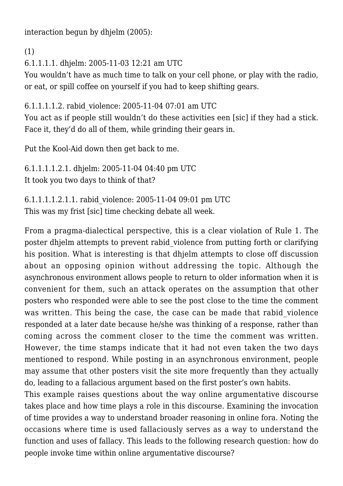interaction begun by dhjelm (2005):

(1)

6.1.1.1.1. dhjelm: 2005-11-03 12:21 am UTC

You wouldn't have as much time to talk on your cell phone, or play with the radio, or eat, or spill coffee on yourself if you had to keep shifting gears.

6.1.1.1.1.2. rabid\_violence: 2005-11-04 07:01 am UTC

You act as if people still wouldn't do these activities een [sic] if they had a stick. Face it, they'd do all of them, while grinding their gears in.

Put the Kool-Aid down then get back to me.

6.1.1.1.1.2.1. dhjelm: 2005-11-04 04:40 pm UTC It took you two days to think of that?

6.1.1.1.1.2.1.1. rabid\_violence: 2005-11-04 09:01 pm UTC This was my frist [sic] time checking debate all week.

From a pragma-dialectical perspective, this is a clear violation of Rule 1. The poster dhjelm attempts to prevent rabid\_violence from putting forth or clarifying his position. What is interesting is that dhjelm attempts to close off discussion about an opposing opinion without addressing the topic. Although the asynchronous environment allows people to return to older information when it is convenient for them, such an attack operates on the assumption that other posters who responded were able to see the post close to the time the comment was written. This being the case, the case can be made that rabid violence responded at a later date because he/she was thinking of a response, rather than coming across the comment closer to the time the comment was written. However, the time stamps indicate that it had not even taken the two days mentioned to respond. While posting in an asynchronous environment, people may assume that other posters visit the site more frequently than they actually do, leading to a fallacious argument based on the first poster's own habits.

This example raises questions about the way online argumentative discourse takes place and how time plays a role in this discourse. Examining the invocation of time provides a way to understand broader reasoning in online fora. Noting the occasions where time is used fallaciously serves as a way to understand the function and uses of fallacy. This leads to the following research question: how do people invoke time within online argumentative discourse?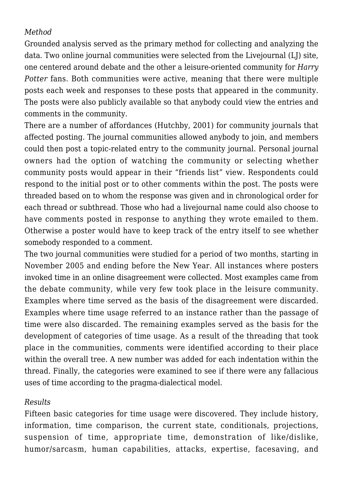## *Method*

Grounded analysis served as the primary method for collecting and analyzing the data. Two online journal communities were selected from the Livejournal (LJ) site, one centered around debate and the other a leisure-oriented community for *Harry Potter* fans. Both communities were active, meaning that there were multiple posts each week and responses to these posts that appeared in the community. The posts were also publicly available so that anybody could view the entries and comments in the community.

There are a number of affordances (Hutchby, 2001) for community journals that affected posting. The journal communities allowed anybody to join, and members could then post a topic-related entry to the community journal. Personal journal owners had the option of watching the community or selecting whether community posts would appear in their "friends list" view. Respondents could respond to the initial post or to other comments within the post. The posts were threaded based on to whom the response was given and in chronological order for each thread or subthread. Those who had a livejournal name could also choose to have comments posted in response to anything they wrote emailed to them. Otherwise a poster would have to keep track of the entry itself to see whether somebody responded to a comment.

The two journal communities were studied for a period of two months, starting in November 2005 and ending before the New Year. All instances where posters invoked time in an online disagreement were collected. Most examples came from the debate community, while very few took place in the leisure community. Examples where time served as the basis of the disagreement were discarded. Examples where time usage referred to an instance rather than the passage of time were also discarded. The remaining examples served as the basis for the development of categories of time usage. As a result of the threading that took place in the communities, comments were identified according to their place within the overall tree. A new number was added for each indentation within the thread. Finally, the categories were examined to see if there were any fallacious uses of time according to the pragma-dialectical model.

## *Results*

Fifteen basic categories for time usage were discovered. They include history, information, time comparison, the current state, conditionals, projections, suspension of time, appropriate time, demonstration of like/dislike, humor/sarcasm, human capabilities, attacks, expertise, facesaving, and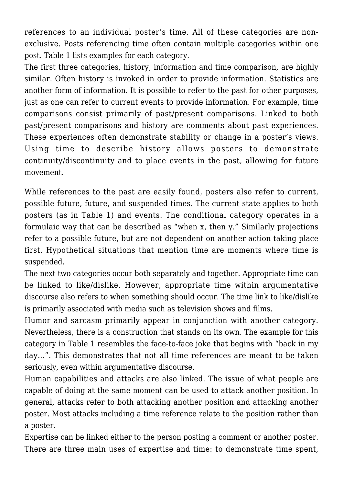references to an individual poster's time. All of these categories are nonexclusive. Posts referencing time often contain multiple categories within one post. Table 1 lists examples for each category.

The first three categories, history, information and time comparison, are highly similar. Often history is invoked in order to provide information. Statistics are another form of information. It is possible to refer to the past for other purposes, just as one can refer to current events to provide information. For example, time comparisons consist primarily of past/present comparisons. Linked to both past/present comparisons and history are comments about past experiences. These experiences often demonstrate stability or change in a poster's views. Using time to describe history allows posters to demonstrate continuity/discontinuity and to place events in the past, allowing for future movement.

While references to the past are easily found, posters also refer to current, possible future, future, and suspended times. The current state applies to both posters (as in Table 1) and events. The conditional category operates in a formulaic way that can be described as "when x, then y." Similarly projections refer to a possible future, but are not dependent on another action taking place first. Hypothetical situations that mention time are moments where time is suspended.

The next two categories occur both separately and together. Appropriate time can be linked to like/dislike. However, appropriate time within argumentative discourse also refers to when something should occur. The time link to like/dislike is primarily associated with media such as television shows and films.

Humor and sarcasm primarily appear in conjunction with another category. Nevertheless, there is a construction that stands on its own. The example for this category in Table 1 resembles the face-to-face joke that begins with "back in my day…". This demonstrates that not all time references are meant to be taken seriously, even within argumentative discourse.

Human capabilities and attacks are also linked. The issue of what people are capable of doing at the same moment can be used to attack another position. In general, attacks refer to both attacking another position and attacking another poster. Most attacks including a time reference relate to the position rather than a poster.

Expertise can be linked either to the person posting a comment or another poster. There are three main uses of expertise and time: to demonstrate time spent,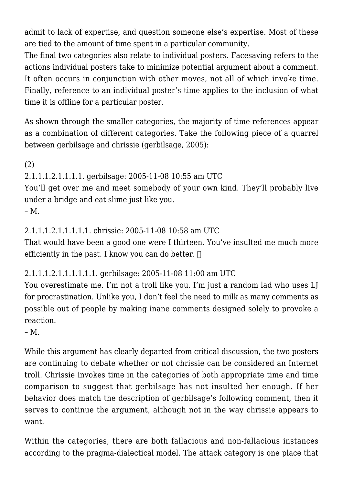admit to lack of expertise, and question someone else's expertise. Most of these are tied to the amount of time spent in a particular community.

The final two categories also relate to individual posters. Facesaving refers to the actions individual posters take to minimize potential argument about a comment. It often occurs in conjunction with other moves, not all of which invoke time. Finally, reference to an individual poster's time applies to the inclusion of what time it is offline for a particular poster.

As shown through the smaller categories, the majority of time references appear as a combination of different categories. Take the following piece of a quarrel between gerbilsage and chrissie (gerbilsage, 2005):

(2)

2.1.1.1.2.1.1.1.1. gerbilsage: 2005-11-08 10:55 am UTC

You'll get over me and meet somebody of your own kind. They'll probably live under a bridge and eat slime just like you.

 $- M$ .

2.1.1.1.2.1.1.1.1.1. chrissie: 2005-11-08 10:58 am UTC

That would have been a good one were I thirteen. You've insulted me much more efficiently in the past. I know you can do better.  $\Box$ 

2.1.1.1.2.1.1.1.1.1.1. gerbilsage: 2005-11-08 11:00 am UTC

You overestimate me. I'm not a troll like you. I'm just a random lad who uses LJ for procrastination. Unlike you, I don't feel the need to milk as many comments as possible out of people by making inane comments designed solely to provoke a reaction.

– M.

While this argument has clearly departed from critical discussion, the two posters are continuing to debate whether or not chrissie can be considered an Internet troll. Chrissie invokes time in the categories of both appropriate time and time comparison to suggest that gerbilsage has not insulted her enough. If her behavior does match the description of gerbilsage's following comment, then it serves to continue the argument, although not in the way chrissie appears to want.

Within the categories, there are both fallacious and non-fallacious instances according to the pragma-dialectical model. The attack category is one place that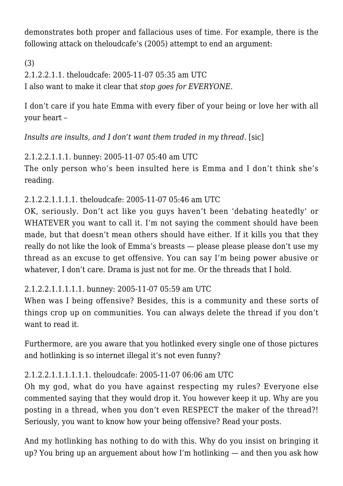demonstrates both proper and fallacious uses of time. For example, there is the following attack on theloudcafe's (2005) attempt to end an argument:

(3) 2.1.2.2.1.1. theloudcafe: 2005-11-07 05:35 am UTC I also want to make it clear that *stop goes for EVERYONE.*

I don't care if you hate Emma with every fiber of your being or love her with all your heart –

*Insults are insults, and I don't want them traded in my thread.* [sic]

2.1.2.2.1.1.1. bunney: 2005-11-07 05:40 am UTC The only person who's been insulted here is Emma and I don't think she's reading.

2.1.2.2.1.1.1.1. theloudcafe: 2005-11-07 05:46 am UTC

OK, seriously. Don't act like you guys haven't been 'debating heatedly' or WHATEVER you want to call it. I'm not saying the comment should have been made, but that doesn't mean others should have either. If it kills you that they really do not like the look of Emma's breasts — please please please don't use my thread as an excuse to get offensive. You can say I'm being power abusive or whatever, I don't care. Drama is just not for me. Or the threads that I hold.

2.1.2.2.1.1.1.1.1. bunney: 2005-11-07 05:59 am UTC

When was I being offensive? Besides, this is a community and these sorts of things crop up on communities. You can always delete the thread if you don't want to read it.

Furthermore, are you aware that you hotlinked every single one of those pictures and hotlinking is so internet illegal it's not even funny?

# 2.1.2.2.1.1.1.1.1.1. theloudcafe: 2005-11-07 06:06 am UTC

Oh my god, what do you have against respecting my rules? Everyone else commented saying that they would drop it. You however keep it up. Why are you posting in a thread, when you don't even RESPECT the maker of the thread?! Seriously, you want to know how your being offensive? Read your posts.

And my hotlinking has nothing to do with this. Why do you insist on bringing it up? You bring up an arguement about how I'm hotlinking — and then you ask how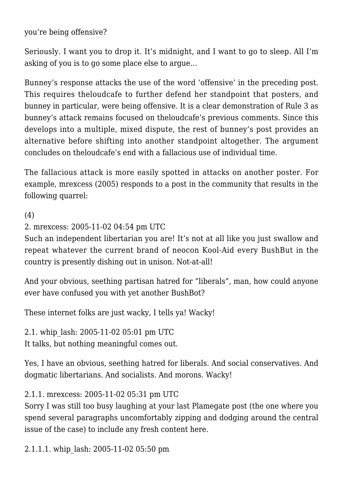you're being offensive?

Seriously. I want you to drop it. It's midnight, and I want to go to sleep. All I'm asking of you is to go some place else to argue…

Bunney's response attacks the use of the word 'offensive' in the preceding post. This requires theloudcafe to further defend her standpoint that posters, and bunney in particular, were being offensive. It is a clear demonstration of Rule 3 as bunney's attack remains focused on theloudcafe's previous comments. Since this develops into a multiple, mixed dispute, the rest of bunney's post provides an alternative before shifting into another standpoint altogether. The argument concludes on theloudcafe's end with a fallacious use of individual time.

The fallacious attack is more easily spotted in attacks on another poster. For example, mrexcess (2005) responds to a post in the community that results in the following quarrel:

(4)

2. mrexcess: 2005-11-02 04:54 pm UTC

Such an independent libertarian you are! It's not at all like you just swallow and repeat whatever the current brand of neocon Kool-Aid every BushBut in the country is presently dishing out in unison. Not-at-all!

And your obvious, seething partisan hatred for "liberals", man, how could anyone ever have confused you with yet another BushBot?

These internet folks are just wacky, I tells ya! Wacky!

2.1. whip\_lash: 2005-11-02 05:01 pm UTC It talks, but nothing meaningful comes out.

Yes, I have an obvious, seething hatred for liberals. And social conservatives. And dogmatic libertarians. And socialists. And morons. Wacky!

2.1.1. mrexcess: 2005-11-02 05:31 pm UTC

Sorry I was still too busy laughing at your last Plamegate post (the one where you spend several paragraphs uncomfortably zipping and dodging around the central issue of the case) to include any fresh content here.

2.1.1.1. whip\_lash: 2005-11-02 05:50 pm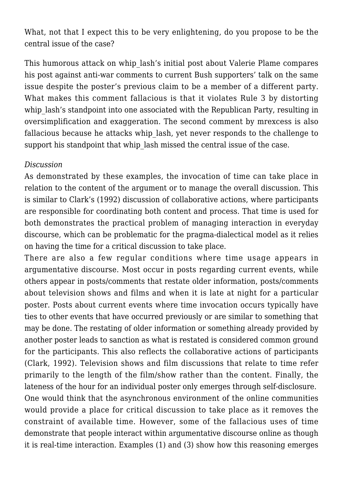What, not that I expect this to be very enlightening, do you propose to be the central issue of the case?

This humorous attack on whip lash's initial post about Valerie Plame compares his post against anti-war comments to current Bush supporters' talk on the same issue despite the poster's previous claim to be a member of a different party. What makes this comment fallacious is that it violates Rule 3 by distorting whip lash's standpoint into one associated with the Republican Party, resulting in oversimplification and exaggeration. The second comment by mrexcess is also fallacious because he attacks whip\_lash, yet never responds to the challenge to support his standpoint that whip lash missed the central issue of the case.

### *Discussion*

As demonstrated by these examples, the invocation of time can take place in relation to the content of the argument or to manage the overall discussion. This is similar to Clark's (1992) discussion of collaborative actions, where participants are responsible for coordinating both content and process. That time is used for both demonstrates the practical problem of managing interaction in everyday discourse, which can be problematic for the pragma-dialectical model as it relies on having the time for a critical discussion to take place.

There are also a few regular conditions where time usage appears in argumentative discourse. Most occur in posts regarding current events, while others appear in posts/comments that restate older information, posts/comments about television shows and films and when it is late at night for a particular poster. Posts about current events where time invocation occurs typically have ties to other events that have occurred previously or are similar to something that may be done. The restating of older information or something already provided by another poster leads to sanction as what is restated is considered common ground for the participants. This also reflects the collaborative actions of participants (Clark, 1992). Television shows and film discussions that relate to time refer primarily to the length of the film/show rather than the content. Finally, the lateness of the hour for an individual poster only emerges through self-disclosure. One would think that the asynchronous environment of the online communities would provide a place for critical discussion to take place as it removes the constraint of available time. However, some of the fallacious uses of time demonstrate that people interact within argumentative discourse online as though it is real-time interaction. Examples (1) and (3) show how this reasoning emerges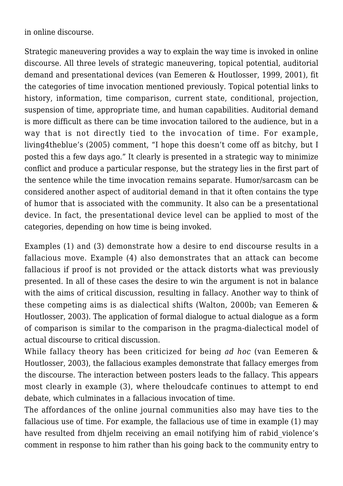in online discourse.

Strategic maneuvering provides a way to explain the way time is invoked in online discourse. All three levels of strategic maneuvering, topical potential, auditorial demand and presentational devices (van Eemeren & Houtlosser, 1999, 2001), fit the categories of time invocation mentioned previously. Topical potential links to history, information, time comparison, current state, conditional, projection, suspension of time, appropriate time, and human capabilities. Auditorial demand is more difficult as there can be time invocation tailored to the audience, but in a way that is not directly tied to the invocation of time. For example, living4theblue's (2005) comment, "I hope this doesn't come off as bitchy, but I posted this a few days ago." It clearly is presented in a strategic way to minimize conflict and produce a particular response, but the strategy lies in the first part of the sentence while the time invocation remains separate. Humor/sarcasm can be considered another aspect of auditorial demand in that it often contains the type of humor that is associated with the community. It also can be a presentational device. In fact, the presentational device level can be applied to most of the categories, depending on how time is being invoked.

Examples (1) and (3) demonstrate how a desire to end discourse results in a fallacious move. Example (4) also demonstrates that an attack can become fallacious if proof is not provided or the attack distorts what was previously presented. In all of these cases the desire to win the argument is not in balance with the aims of critical discussion, resulting in fallacy. Another way to think of these competing aims is as dialectical shifts (Walton, 2000b; van Eemeren & Houtlosser, 2003). The application of formal dialogue to actual dialogue as a form of comparison is similar to the comparison in the pragma-dialectical model of actual discourse to critical discussion.

While fallacy theory has been criticized for being *ad hoc* (van Eemeren & Houtlosser, 2003), the fallacious examples demonstrate that fallacy emerges from the discourse. The interaction between posters leads to the fallacy. This appears most clearly in example (3), where theloudcafe continues to attempt to end debate, which culminates in a fallacious invocation of time.

The affordances of the online journal communities also may have ties to the fallacious use of time. For example, the fallacious use of time in example (1) may have resulted from dhjelm receiving an email notifying him of rabid violence's comment in response to him rather than his going back to the community entry to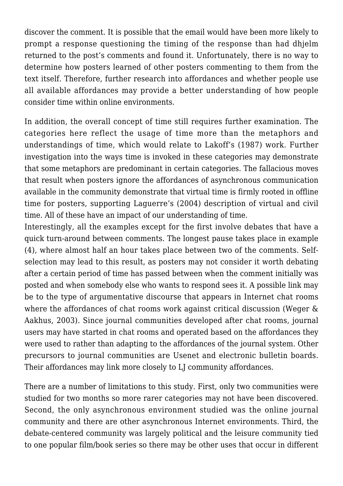discover the comment. It is possible that the email would have been more likely to prompt a response questioning the timing of the response than had dhjelm returned to the post's comments and found it. Unfortunately, there is no way to determine how posters learned of other posters commenting to them from the text itself. Therefore, further research into affordances and whether people use all available affordances may provide a better understanding of how people consider time within online environments.

In addition, the overall concept of time still requires further examination. The categories here reflect the usage of time more than the metaphors and understandings of time, which would relate to Lakoff's (1987) work. Further investigation into the ways time is invoked in these categories may demonstrate that some metaphors are predominant in certain categories. The fallacious moves that result when posters ignore the affordances of asynchronous communication available in the community demonstrate that virtual time is firmly rooted in offline time for posters, supporting Laguerre's (2004) description of virtual and civil time. All of these have an impact of our understanding of time.

Interestingly, all the examples except for the first involve debates that have a quick turn-around between comments. The longest pause takes place in example (4), where almost half an hour takes place between two of the comments. Selfselection may lead to this result, as posters may not consider it worth debating after a certain period of time has passed between when the comment initially was posted and when somebody else who wants to respond sees it. A possible link may be to the type of argumentative discourse that appears in Internet chat rooms where the affordances of chat rooms work against critical discussion (Weger & Aakhus, 2003). Since journal communities developed after chat rooms, journal users may have started in chat rooms and operated based on the affordances they were used to rather than adapting to the affordances of the journal system. Other precursors to journal communities are Usenet and electronic bulletin boards. Their affordances may link more closely to LJ community affordances.

There are a number of limitations to this study. First, only two communities were studied for two months so more rarer categories may not have been discovered. Second, the only asynchronous environment studied was the online journal community and there are other asynchronous Internet environments. Third, the debate-centered community was largely political and the leisure community tied to one popular film/book series so there may be other uses that occur in different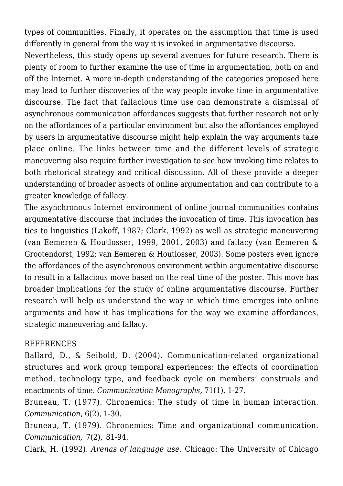types of communities. Finally, it operates on the assumption that time is used differently in general from the way it is invoked in argumentative discourse.

Nevertheless, this study opens up several avenues for future research. There is plenty of room to further examine the use of time in argumentation, both on and off the Internet. A more in-depth understanding of the categories proposed here may lead to further discoveries of the way people invoke time in argumentative discourse. The fact that fallacious time use can demonstrate a dismissal of asynchronous communication affordances suggests that further research not only on the affordances of a particular environment but also the affordances employed by users in argumentative discourse might help explain the way arguments take place online. The links between time and the different levels of strategic maneuvering also require further investigation to see how invoking time relates to both rhetorical strategy and critical discussion. All of these provide a deeper understanding of broader aspects of online argumentation and can contribute to a greater knowledge of fallacy.

The asynchronous Internet environment of online journal communities contains argumentative discourse that includes the invocation of time. This invocation has ties to linguistics (Lakoff, 1987; Clark, 1992) as well as strategic maneuvering (van Eemeren & Houtlosser, 1999, 2001, 2003) and fallacy (van Eemeren & Grootendorst, 1992; van Eemeren & Houtlosser, 2003). Some posters even ignore the affordances of the asynchronous environment within argumentative discourse to result in a fallacious move based on the real time of the poster. This move has broader implications for the study of online argumentative discourse. Further research will help us understand the way in which time emerges into online arguments and how it has implications for the way we examine affordances, strategic maneuvering and fallacy.

### REFERENCES

Ballard, D., & Seibold, D. (2004). Communication-related organizational structures and work group temporal experiences: the effects of coordination method, technology type, and feedback cycle on members' construals and enactments of time. *Communication Monographs,* 71(1), 1-27.

Bruneau, T. (1977). Chronemics: The study of time in human interaction. *Communication*, 6(2), 1-30.

Bruneau, T. (1979). Chronemics: Time and organizational communication. *Communication,* 7(2), 81-94.

Clark, H. (1992). *Arenas of language use*. Chicago: The University of Chicago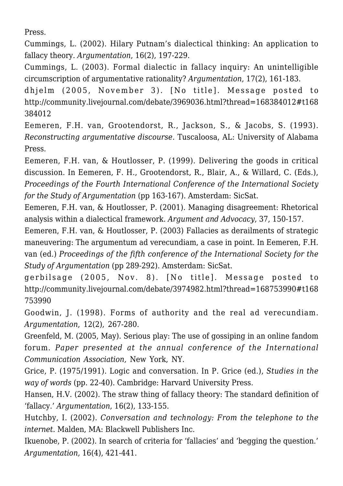Press.

Cummings, L. (2002). Hilary Putnam's dialectical thinking: An application to fallacy theory*. Argumentation*, 16(2), 197-229.

Cummings, L. (2003). Formal dialectic in fallacy inquiry: An unintelligible circumscription of argumentative rationality? *Argumentation*, 17(2), 161-183.

dhjelm (2005, November 3). [No title]. Message posted to http://community.livejournal.com/debate/3969036.html?thread=168384012#t168 384012

Eemeren, F.H. van, Grootendorst, R., Jackson, S., & Jacobs, S. (1993). *Reconstructing argumentative discourse*. Tuscaloosa, AL: University of Alabama Press.

Eemeren, F.H. van, & Houtlosser, P. (1999). Delivering the goods in critical discussion. In Eemeren, F. H., Grootendorst, R., Blair, A., & Willard, C. (Eds.), *Proceedings of the Fourth International Conference of the International Society for the Study of Argumentation* (pp 163-167). Amsterdam: SicSat.

Eemeren, F.H. van, & Houtlosser, P. (2001). Managing disagreement: Rhetorical analysis within a dialectical framework. *Argument and Advocacy*, 37, 150-157.

Eemeren, F.H. van, & Houtlosser, P. (2003) Fallacies as derailments of strategic maneuvering: The argumentum ad verecundiam, a case in point. In Eemeren, F.H. van (ed.) *Proceedings of the fifth conference of the International Society for the Study of Argumentation* (pp 289-292). Amsterdam: SicSat.

gerbilsage (2005, Nov. 8). [No title]. Message posted to http://community.livejournal.com/debate/3974982.html?thread=168753990#t168 753990

Goodwin, J. (1998). Forms of authority and the real ad verecundiam. *Argumentation*, 12(2), 267-280.

Greenfeld, M. (2005, May). Serious play: The use of gossiping in an online fandom forum. *Paper presented at the annual conference of the International Communication Association,* New York, NY.

Grice, P. (1975/1991). Logic and conversation. In P. Grice (ed.), *Studies in the way of words* (pp. 22-40). Cambridge: Harvard University Press.

Hansen, H.V. (2002). The straw thing of fallacy theory: The standard definition of 'fallacy.' *Argumentation*, 16(2), 133-155.

Hutchby, I. (2002). *Conversation and technology: From the telephone to the internet*. Malden, MA: Blackwell Publishers Inc.

Ikuenobe, P. (2002). In search of criteria for 'fallacies' and 'begging the question.' *Argumentation,* 16(4), 421-441.